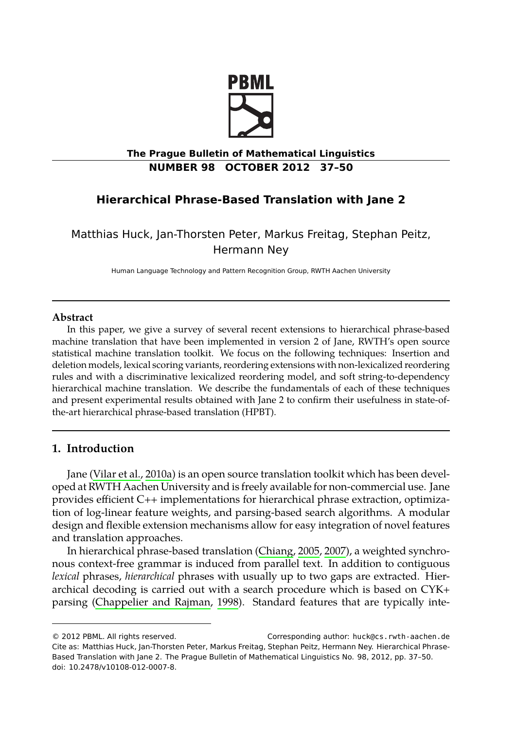

# **The Prague Bulletin of Mathematical Linguistics NUMBER 98 OCTOBER 2012 37–50**

# **Hierarchical Phrase-Based Translation with Jane 2**

Matthias Huck, Jan-Thorsten Peter, Markus Freitag, Stephan Peitz, Hermann Ney

Human Language Technology and Pattern Recognition Group, RWTH Aachen University

## **Abstract**

In this paper, we give a survey of several recent extensions to hierarchical phrase-based machine translation that have been implemented in version 2 of Jane, RWTH's open source statistical [machine translatio](#page-12-0)n toolkit. We focus on the following techniques: Insertion and deletion models, lexical scoring variants, reordering extensions with non-lexicalized reordering rules and with a discriminative lexicalized reordering model, and soft string-to-dependency hierarchical machine translation. We describe the fundamentals of each of these techniques and present experimental results obtained with Jane 2 to confirm their usefulness in state-ofthe-art hierarchical phrase-based translation (HPBT).

# **1. Introduction**

Jane (Vilar et al., 2010a) is an open source translation toolkit which has been developed at [RWTH Aachen University](#page-10-0) a[nd is](#page-10-0) freely available for non-commercial use. Jane provides efficient C++ implementations for hierarchical phrase extraction, optimization of log-linear feature weights, and parsing-based search algorithms. A modular design and flexible extension mechanisms allow for easy integration of novel features and translation approaches.

In hierarchical phrase-based translation (Chiang, 2005, 2007), a weighted synchronous context-free grammar is induced from parallel text. In addition to contiguous *lexical* phrases, *hierarchical* phrases with usually up to two gaps are extracted. Hierarchical decoding is carried out with a search procedure which is based on CYK+ parsing (Chappelier and Rajman, 1998). Standard features that are typically inte-

<sup>© 2012</sup> PBML. All rights reserved. Corresponding author: huck@cs.rwth-aachen.de Cite as: Matthias Huck, Jan-Thorsten Peter, Markus Freitag, Stephan Peitz, Hermann Ney. Hierarchical Phrase-Based Translation with Jane 2. The Prague Bulletin of Mathematical Linguistics No. 98, 2012, pp. 37–50. doi: 10.2478/v10108-012-0007-8.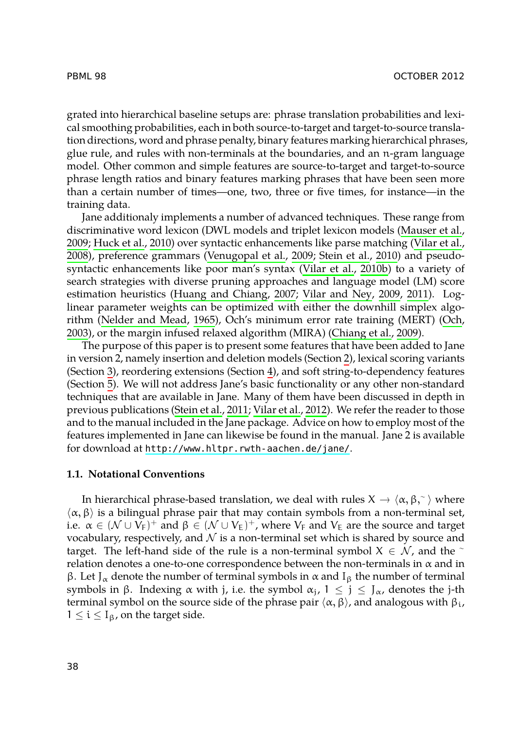grated into hierarchical baseline setups are: phrase translation probabi[lities and lexi](#page-11-0)[cal s](#page-11-0)[moothing probabil](#page-11-1)ities, each in both source-to-target and target-to-sou[rce transla](#page-12-1)[tion d](#page-12-1)irections, word and phr[ase penalty, binary featu](#page-12-2)r[es marking](#page-12-3) [h](#page-12-4)[ierar](#page-12-3)chical phrases, glue rule, and rules with non-terminals at the bo[undaries, an](#page-12-4)d an n-gram language model. Other common and simple features are source-to-target and target-to-source phrase length ratios a[nd binary features marking](#page-10-1) [phrases that have be](#page-12-5)e[n see](#page-12-6)n more than a [certain number of](#page-11-2) [times](#page-11-2)—one, two, three or five times, for instance—i[n the](#page-11-3) [train](#page-11-3)ing data.

Jane additionaly implements a number of advanced t[echniques. These ra](#page-10-2)nge from discriminative word lexicon (DWL models and triplet lexicon models (Mauser et al., 2009; Huck et al., 2010) over syntactic enhancements like p[ar](#page-2-0)se matching (Vilar et al., 2008), p[re](#page-3-0)ference grammars (Venugopal [et](#page-5-0) al., 2009; Stein et al., 2010) and pseudosyntacti[c e](#page-6-0)nhancements like poor man's syntax (Vilar et al., 2010b) to a variety of search strategies with diverse pruning [approache](#page-12-8)s and language model (LM) score estimation heuristics ([Huang and Chi](#page-12-7)ang, 2007; [Vilar](#page-12-8) and Ney, 2009, 2011). Loglinear parameter weights can be optimized with either the downhill simplex algorithm (Nelder and Mead, 1965), Och's minimum error rate training (MERT) (Och, 2003), or the ma[rgin infused relaxed algorithm \(MIRA\) \(Chia](http://www.hltpr.rwth-aachen.de/jane/)ng et al., 2009).

The purpose of this paper is to present some features that have been added to Jane in version 2, namely insertion and deletion models (Section 2), lexical scoring variants (Section 3), reordering extensions (Section 4), and soft string-to-dependency features (Section 5). We will not address Jane's basic functionality or any other non-standard techniques that are available in Jane. Many of them have been discussed in depth in previous publications (Stein et al., 2011; Vilar et al., 2012). We refer the reader to those and to the manual included in the Jane package. Advice on how to employ most of the features implemented in Jane can likewise be found in the manual. Jane 2 is available for download at http://www.hltpr.rwth-aachen.de/jane/.

#### **1.1. Notational Conventions**

In hierarchical phrase-based translation, we deal with rules  $X \rightarrow \langle \alpha, \beta, \gamma \rangle$  where  $\alpha$ ,  $\beta$  and high rules that may contain symbols from a non-terminal set *⟨*α, β*⟩* is a bilingual phrase pair that may contain symbols from a non-terminal set, i.e.  $\alpha \in (\mathcal{N} \cup V_F)^+$  and  $\beta \in (\mathcal{N} \cup V_E)^+$ , where  $V_F$  and  $V_E$  are the source and target vocabulary, respectively, and *N* is a non-terminal set which is shared by source and target. The left-hand side of the rule is a non-terminal symbol <sup>X</sup> *∈ N* , and the <sup>∼</sup> relation denotes a one-to-one correspondence between the non-terminals in α and in β. Let J<sub>α</sub> denote the number of terminal symbols in  $\alpha$  and I<sub>β</sub> the number of terminal symbols in β. Indexing  $\alpha$  with j, i.e. the symbol  $\alpha_i$ ,  $1 \le j \le J_\alpha$ , denotes the j-th terminal symbol on the source side of the phrase pair  $\langle \alpha, \beta \rangle$ , and analogous with  $β_i$ ,  $1 \leq i \leq I_{\beta}$ , on the target side.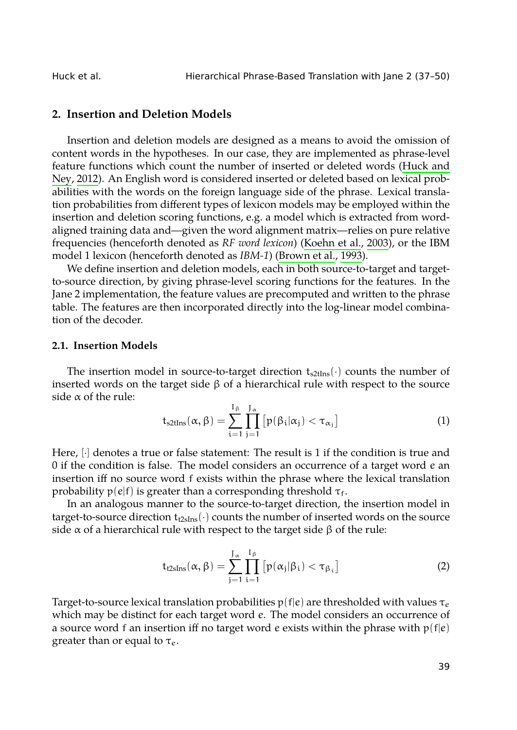<span id="page-2-0"></span>

# **2. Insertion and Deletion Models**

Insertion and deletion models are designed [as a means to avo](#page-10-3)id the omission of content words in the hypotheses. In our case, they are implemented as phrase-level feature functions which count the number of inserted or deleted words (Huck and Ney, 2012). An English word is considered inserted or deleted based on lexical probabilities with the words on the foreign language side of the phrase. Lexical translation probabilities from different types of lexicon models may be employed within the insertion and deletion scoring functions, e.g. a model which is extracted from wordaligned training data and—given the word alignment matrix—relies on pure relative frequencies (henceforth denoted as *RF word lexicon*) (Koehn et al., 2003), or the IBM model 1 lexicon (henceforth denoted as *IBM-1*) (Brown et al., 1993).

We define insertion and deletion models, each in both source-to-target and targetto-source direction, by giving phrase-level scoring functions for the features. In the Jane 2 implementation, the feature values are precomputed and written to the phrase table. The features are then incorporated directly into the log-linear model combination of the decoder.

## **2.1. Insertion Models**

The insertion model in source-to-target direction  $t_{s2tIns}(\cdot)$  counts the number of inserted words on the target side  $β$  of a hierarchical rule with respect to the source side  $\alpha$  of the rule:

$$
t_{s2tIns}(\alpha, \beta) = \sum_{i=1}^{I_{\beta}} \prod_{j=1}^{J_{\alpha}} [p(\beta_i | \alpha_j) < \tau_{\alpha_j}]
$$
 (1)

Here, [*·*] denotes a true or false statement: The result is 1 if the condition is true and 0 if the condition is false. The model considers an occurrence of a target word e an insertion iff no source word f exists within the phrase where the lexical translation probability  $p(e|f)$  is greater than a corresponding threshold  $\tau_f$ .

In an analogous manner to the source-to-target direction, the insertion model in target-to-source direction  $t_{\text{t2sIns}}(\cdot)$  counts the number of inserted words on the source side  $\alpha$  of a hierarchical rule with respect to the target side  $\beta$  of the rule:

$$
t_{t2sIns}(\alpha, \beta) = \sum_{j=1}^{J_{\alpha}} \prod_{i=1}^{I_{\beta}} [p(\alpha_j|\beta_i) < \tau_{\beta_i}]
$$
 (2)

Target-to-source lexical translation probabilities  $p(f|e)$  are thresholded with values  $\tau_e$ which may be distinct for each target word e. The model considers an occurrence of a source word f an insertion iff no target word e exists within the phrase with  $p(f|e)$ greater than or equal to  $\tau_e$ .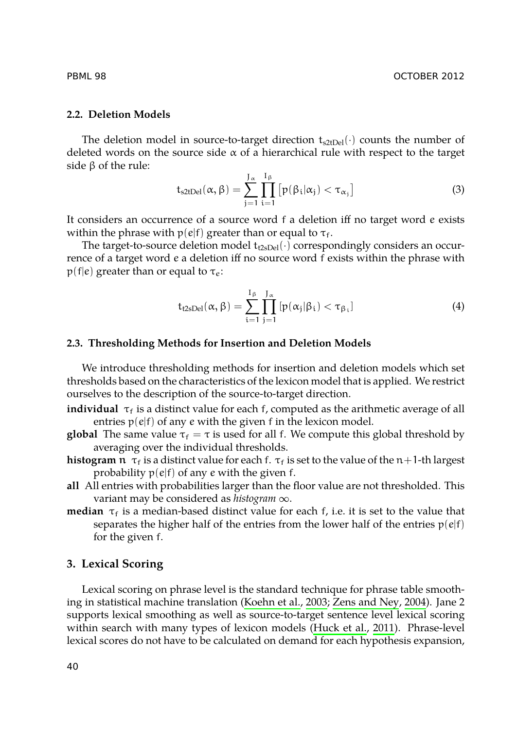## **2.2. Deletion Models**

The deletion model in source-to-target direction  $t_{s2tDel}(\cdot)$  counts the number of deleted words on the source side  $\alpha$  of a hierarchical rule with respect to the target side β of the rule:

$$
t_{s2tDel}(\alpha,\beta)=\sum_{j=1}^{J_{\alpha}}\prod_{i=1}^{I_{\beta}}\left[p(\beta_i|\alpha_j)<\tau_{\alpha_j}\right]
$$
(3)

It considers an occurrence of a source word f a deletion iff no target word e exists within the phrase with  $p(e|f)$  greater than or equal to  $\tau_f$ .

The target-to-source deletion model  $t_{t2sDel}(\cdot)$  correspondingly considers an occurrence of a target word e a deletion iff no source word f exists within the phrase with  $p(f|e)$  greater than or equal to  $\tau_e$ :

$$
t_{t2sDel}(\alpha,\beta)=\sum_{i=1}^{I_{\beta}}\prod_{j=1}^{J_{\alpha}}[p(\alpha_j|\beta_i)<\tau_{\beta_i}]
$$
\n(4)

#### **2.3. Thresholding Methods for Insertion and Deletion Models**

We introduce thresholding methods for insertion and deletion models which set thresholds based on the characteristics of the lexicon model that is applied. We restrict ourselves to the description of the source-to-target direction.

**individual**  $\tau_f$  is a distinct value for each f, computed as the arithmetic average of all entries  $p(e|f)$  of any  $e$  with the given  $f$  in the lexicon model.

- <span id="page-3-0"></span>**global** The same value  $\tau_f = \tau$  is used for all f. We compute this global threshold by averaging over the individual thresholds.
- **histogram**  $\pi$ <sub>f</sub> is a distinct value for each f.  $\tau$ <sub>f</sub> is set to the value of the  $n+1$ -th largest probability  $p(e|f)$  of any e with the given f.
- **all** All entries with probabilities larg[er than the floor va](#page-11-4)l[ue are not threshold](#page-13-0)ed. This variant may be considered as *histogram* <sup>∞</sup>.
- **median**  $\tau_f$  is a median-based distinct value for each f[, i.e. it is](#page-11-5) [set to](#page-11-5) the value that separates the higher half of the entries from the lower half of the entries  $p(e|f)$ for the given f.

# **3. Lexical Scoring**

Lexical scoring on phrase level is the standard technique for phrase table smoothing in statistical machine translation (Koehn et al., 2003; Zens and Ney, 2004). Jane 2 supports lexical smoothing as well as source-to-target sentence level lexical scoring within search with many types of lexicon models (Huck et al., 2011). Phrase-level lexical scores do not have to be calculated on demand for each hypothesis expansion,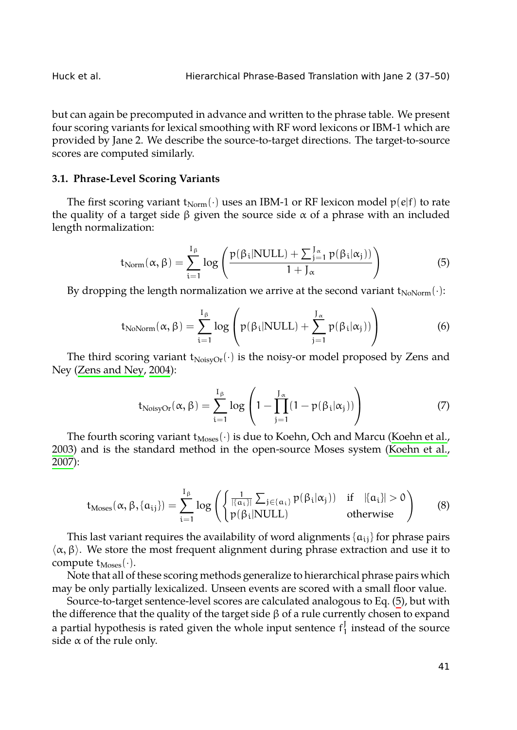but can again be precomputed in advance and written to the phrase table. We present four scoring variants for lexical smoothing with RF word lexicons or IBM-1 which are provided by Jane 2. We describe the source-to-target directions. The target-to-source scores are computed similarly.

### **3.1. Phrase-Level Scoring Variants**

The first scoring variant  $t_{\text{Norm}}(\cdot)$  uses an IBM-1 or RF lexicon model  $p(e|f)$  to rate the quality of a target side  $β$  given the source side  $α$  of a phrase with an included length normalization:

$$
t_{Norm}(\alpha, \beta) = \sum_{i=1}^{I_{\beta}} \log \left( \frac{p(\beta_i|NULL) + \sum_{j=1}^{J_{\alpha}} p(\beta_i|\alpha_j))}{1 + J_{\alpha}} \right)
$$
(5)

By dropping the length normalization we arrive at the second variant  $t_{\text{NoNorm}}(\cdot)$ :

$$
t_{\text{NoNorm}}(\alpha, \beta) = \sum_{i=1}^{I_{\beta}} \log \left( p(\beta_i | \text{NULL}) + \sum_{j=1}^{J_{\alpha}} p(\beta_i | \alpha_j)) \right)
$$
(6)

The third scoring variant  $t_{\text{NoisyOr}}(\cdot)$  is the noisy-or model proposed by Zens and Ney (Zens and Ney, 2004):

$$
t_{\text{NoisyOr}}(\alpha, \beta) = \sum_{i=1}^{I_{\beta}} \log \left( 1 - \prod_{j=1}^{J_{\alpha}} (1 - p(\beta_i | \alpha_j)) \right)
$$
(7)

The fourth scoring variant t<sub>Moses</sub>( $\cdot$ ) is due to Koehn, Och and Marcu (Koehn et al., 2003) and is the standard method in the open-source Moses system (Koehn et al., 2007):

$$
t_{\text{Moses}}(\alpha, \beta, \{a_{ij}\}) = \sum_{i=1}^{I_{\beta}} \log \left( \begin{cases} \frac{1}{|\{a_{i}\}|} \sum_{j \in \{a_{i}\}} p(\beta_{i}|\alpha_{j})) & \text{if } |a_{i}| > 0\\ p(\beta_{i}|\text{NULL}) & \text{otherwise} \end{cases} \right) \tag{8}
$$

This last variant requires the availability of word alignments  $\{a_{ij}\}$  for phrase pairs *⟨*α, β*⟩*. We store the most frequent alignment during phrase extraction and use it to compute  $t_{\text{Moses}}(\cdot)$ .

Note that all of these scoring methods generalize to hierarchical phrase pairs which may be only partially lexicalized. Unseen events are scored with a small floor value.

Source-to-target sentence-level scores are calculated analogous to Eq. (5), but with the difference that the quality of the target side β of a rule currently chosen to expand a partial hypothesis is rated given the whole input sentence  $f_1^J$  instead of the source side  $\alpha$  of the rule only.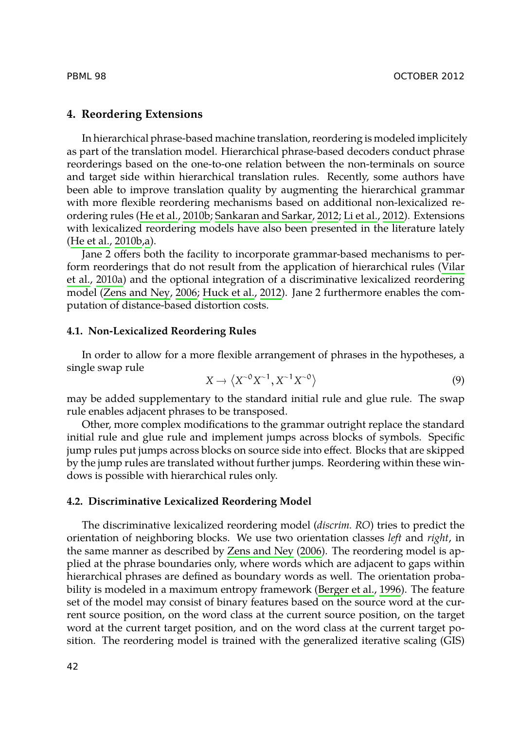<span id="page-5-0"></span>

## **[4. Reordering](#page-10-4) [E](#page-10-5)xtensions**

In hierarchical phrase-based machine translation, reordering is modeled implicitely as part of the translation model. Hierarchical phrase-based decoders conduct p[hrase](#page-12-0) [reorderings](#page-12-0) based on the one-to-one relation between the non-terminals on source and tar[get side within hier](#page-13-1)[archical translatio](#page-11-7)n rules. Recently, some authors have been able to improve translation quality by augmenting the hierarchical grammar with more flexible reordering mechanisms based on additional non-lexicalized reordering rules (He et al., 2010b; Sankaran and Sarkar, 2012; Li et al., 2012). Extensions with lexicalized reordering models have also been presented in the literature lately (He et al., 2010b,a).

Jane 2 offers both the facility to incorporate grammar-based mechanisms to perform reorderings that do not result from the application of hierarchical rules (Vilar et al., 2010a) and the optional integration of a discriminative lexicalized reordering model (Zens and Ney, 2006; Huck et al., 2012). Jane 2 furthermore enables the computation of distance-based distortion costs.

## **4.1. Non-Lexicalized Reordering Rules**

In order to allow for a more flexible arrangement of phrases in the hypotheses, a single swap rule

$$
X \to \langle X^{-0} X^{-1}, X^{-1} X^{-0} \rangle \tag{9}
$$

may be added supplementary to the standard initial rule and glue rule. The swap rule enables adjacent phrases to be transposed.

Other, more complex modifica[tions to the grammar](#page-13-1) outright replace the standard initial rule and glue rule and implement jumps across blocks of symbols. Specific jump rules put jumps across blocks on source side into effect. Blocks that are skipped by the jump rules are translated without further jump[s. Reordering with](#page-10-6)in these windows is possible with hierarchical rules only.

## **4.2. Discriminative Lexicalized Reordering Model**

The discriminative lexicalized reordering model (*discrim. RO*) tries to predict the orientation of neighboring blocks. We use two orientation classes *left* and *right*, in the same manner as described by Zens and Ney (2006). The reordering model is applied at the phrase boundaries only, where words which are adjacent to gaps within hierarchical phrases are defined as boundary words as well. The orientation probability is modeled in a maximum entropy framework (Berger et al., 1996). The feature set of the model may consist of binary features based on the source word at the current source position, on the word class at the current source position, on the target word at the current target position, and on the word class at the current target position. The reordering model is trained with the generalized iterative scaling (GIS)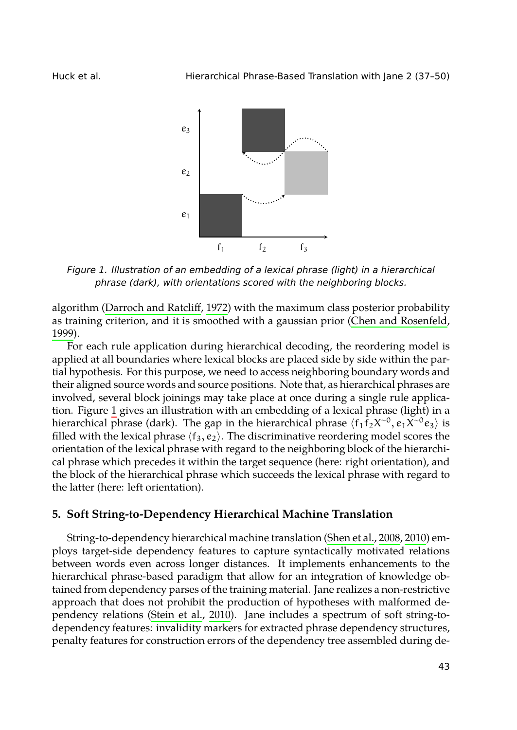Huck et al. Hierarchical Phrase-Based Translation with Jane 2 (37–50)

<span id="page-6-1"></span>

*Figure 1. Illustration of an embedding of a lexical phrase (light) in a hierarchical phr[as](#page-6-1)e (dark), with orientations scored with the neighboring blocks.*

algorithm (Darroch and Ratcliff, 1972) with the maximum class posterior probability as training criterion, and it is smoothed with a gaussian prior (Chen and Rosenfeld, 1999).

<span id="page-6-0"></span>For each rule application during hierarchical decoding, the reordering model is applied at all boundaries where lexical blocks are placed side by side within the partial hypothesis. For this purpose, we need to access neighboring boundary words and their aligned source words and source positions. Note that, as hierarchical phrases are involved, several block joinings may take place at once during a single rule application. Figure 1 gives an illustration with an embedding of [a lexical phrase](#page-12-9) ([light](#page-12-10)) in a hierarchical phrase (dark). The gap in the hierarchical phrase  $\langle f_1 \bar{f}_2 X^{-0}, e_1 X^{-0} e_3 \rangle$  is filled with the lexical phrase  $\langle f_3, e_2 \rangle$ . The discriminative reordering model scores the orientation of the lexical phrase with regard to the neighboring block of the hierarchical phrase which precedes it within the target sequence (here: right orientation), and the block of the hierarchical phrase which succeeds the lexical phrase with regard to the latter (here: left [orientation\).](#page-12-3)

## **5. Soft String-to-Dependency Hierarchical Machine Translation**

String-to-dependency hierarchical machine translation (Shen et al., 2008, 2010) employs target-side dependency features to capture syntactically motivated relations between words even across longer distances. It implements enhancements to the hierarchical phrase-based paradigm that allow for an integration of knowledge obtained from dependency parses of the training material. Jane realizes a non-restrictive approach that does not prohibit the production of hypotheses with malformed dependency relations (Stein et al., 2010). Jane includes a spectrum of soft string-todependency features: invalidity markers for extracted phrase dependency structures, penalty features for construction errors of the dependency tree assembled during de-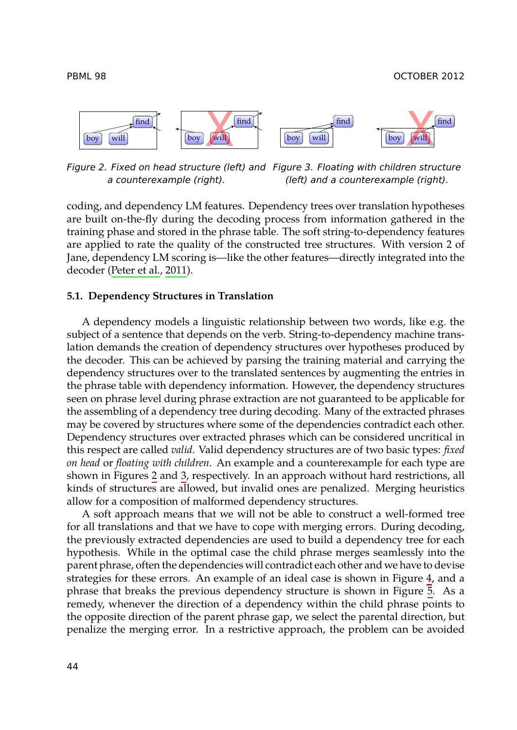<span id="page-7-1"></span><span id="page-7-0"></span>



*Figure 2. Fixed on head structure (left) and Figure 3. Floating with children structure a counterexample (right). (left) and a counterexample (right).*

coding, and dependency LM features. Dependency trees over translation hypotheses are built on-the-fly during the decoding process from information gathered in the training phase and stored in the phrase table. The soft string-to-dependency features are applied to rate the quality of the constructed tree structures. With version 2 of Jane, dependency LM scoring is—like the other features—directly integrated into the decoder (Peter et al., 2011).

#### **5.1. Dependency Structures in Translation**

A dependency models a linguistic relationship between two words, like e.g. the subject of a sentence that depends on the verb. String-to-dependency machine translation demands the creation of dependency structures over hypotheses produced by the decoder. This [c](#page-7-0)an b[e](#page-7-1) achieved by parsing the training material and carrying the dependency structures over to the translated sentences by augmenting the entries in the phrase table with dependency information. However, the dependency structures seen on phrase level during phrase extraction are not guaranteed to be applicable for the assembling of a dependency tree during decoding. Many of the extracted phrases may be covered by structures where some of the dependencies contradict each other. Dependency structures over extracted phrases which can be considered uncritical in this respect are called *valid*. Valid dependency structures are of two basic types: *fixed on head* or *floating with children*. An example and a counterexample for each [ty](#page-8-0)pe are shown in Figures 2 and 3, respectively. In an approach without hard restrict[io](#page-8-1)ns, all kinds of structures are allowed, but invalid ones are penalized. Merging heuristics allow for a composition of malformed dependency structures.

A soft approach means that we will not be able to construct a well-formed tree for all translations and that we have to cope with merging errors. During decoding, the previously extracted dependencies are used to build a dependency tree for each hypothesis. While in the optimal case the child phrase merges seamlessly into the parent phrase, often the dependencies will contradict each other and we have to devise strategies for these errors. An example of an ideal case is shown in Figure 4, and a phrase that breaks the previous dependency structure is shown in Figure 5. As a remedy, whenever the direction of a dependency within the child phrase points to the opposite direction of the parent phrase gap, we select the parental direction, but penalize the merging error. In a restrictive approach, the problem can be avoided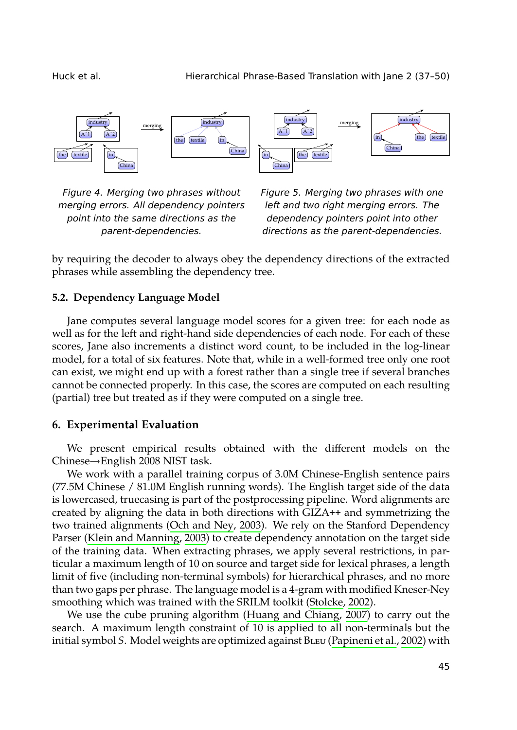<span id="page-8-0"></span>



*Figure 4. Merging two phrases without merging errors. All dependency pointers point into the same directions as the parent-dependencies.*

<span id="page-8-1"></span>*Figure 5. Merging two phrases with one left and two right merging errors. The dependency pointers point into other directions as the parent-dependencies.*

by requiring the decoder to always obey the dependency directions of the extracted phrases while assembling the dependency tree.

## **5.2. Dependency Language Model**

Jane computes several language model scores for a given tree: for each node as well as for the left and right-hand side dependencies of each node. For each of these scores, Jane also increments a distinct word count, to be included in the log-linear model, for a total of six features. Note that, while in a well-formed tree only one root can exist, we might end up with a forest rather than a single tree if several branches cannot be connected properly. In this case, the scores are computed on each resulting (partial) tree but treated [as if they were comp](#page-11-9)uted on a single tree.

## **6. Exp[erimental Evaluation](#page-11-10)**

We present empirical results obtained with the different models on the Chinese→English 2008 NIST task.

We work with a parallel training corpus of 3.0M Chinese-English sentence pairs (77.5M Chinese / 81.0M English running words). The [English targe](#page-12-11)t side of the data is lowercased, truecasing is part of the po[stprocessing pipelin](#page-10-1)e[. Wo](#page-10-1)rd alignments are created by aligning the data in both directions with GIZA**++** and symmetrizing the two trained alignments (Och and Ney, 2003). We rely on [the Stanford Depend](#page-11-11)ency Parser (Klein and Manning, 2003) to create dependency annotation on the target side of the training data. When extracting phrases, we apply several restrictions, in particular a maximum length of 10 on source and target side for lexical phrases, a length limit of five (including non-terminal symbols) for hierarchical phrases, and no more than two gaps per phrase. The language model is a 4-gram with modified Kneser-Ney smoothing which was trained with the SRILM toolkit (Stolcke, 2002).

We use the cube pruning algorithm (Huang and Chiang, 2007) to carry out the search. A maximum length constraint of 10 is applied to all non-terminals but the initial symbol *S*. Model weights are optimized against BLEU (Papineni et al., 2002) with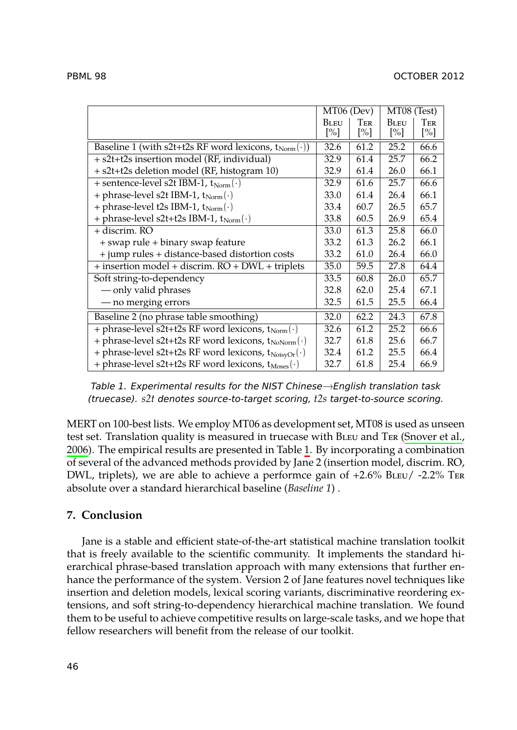|                                                                      | MT06 (Dev)                       |                          | MT08 (Test)           |                          |
|----------------------------------------------------------------------|----------------------------------|--------------------------|-----------------------|--------------------------|
|                                                                      | <b>BLEU</b><br>$\lceil\% \rceil$ | Ter<br>$\lceil\% \rceil$ | <b>BLEU</b><br>$[\%]$ | Ter<br>$\lceil\% \rceil$ |
| Baseline 1 (with s2t+t2s RF word lexicons, $t_{Norm}(\cdot)$ )       | 32.6                             | 61.2                     | 25.2                  | 66.6                     |
| + s2t+t2s insertion model (RF, individual)                           | 32.9                             | 61.4                     | 25.7                  | 66.2                     |
| + s2t+t2s deletion model (RF, histogram 10)                          | 32.9                             | 61.4                     | 26.0                  | 66.1                     |
| + sentence-level s2t IBM-1, $t_{Norm}(\cdot)$                        | 32.9                             | 61.6                     | 25.7                  | 66.6                     |
| + phrase-level s2t IBM-1, $t_{Norm}(\cdot)$                          | 33.0                             | 61.4                     | 26.4                  | 66.1                     |
| + phrase-level t2s IBM-1, t <sub>Norm</sub> (.)                      | 33.4                             | 60.7                     | 26.5                  | 65.7                     |
| + phrase-level s2t+t2s IBM-1, t <sub>Norm</sub> (.)                  | 33.8                             | 60.5                     | 26.9                  | 65.4                     |
| + discrim. RO                                                        | 33.0                             | 61.3                     | 25.8                  | 66.0                     |
| + swap rule + binary swap feature                                    | 33.2                             | 61.3                     | 26.2                  | 66.1                     |
| + jump rules + distance-based distortion costs                       | 33.2                             | 61.0                     | 26.4                  | 66.0                     |
| + insertion model + discrim. RO + DWL + triplets                     | 35.0                             | 59.5                     | 27.8                  | 64.4                     |
| Soft string-to-dependency                                            | 33.5                             | 60.8                     | 26.0                  | 65.7                     |
| - only valid phrases                                                 | 32.8                             | 62.0                     | 25.4                  | 67.1                     |
| - no merging errors                                                  | 32.5                             | 61.5                     | 25.5                  | 66.4                     |
| Baseline 2 (no phrase table smoothing)                               | 32.0                             | 62.2                     | 24.3                  | 67.8                     |
| + phrase-level s2t+t2s RF word lexicons, t <sub>Norm</sub> (.)       | 32.6                             | 61.2                     | 25.2                  | 66.6                     |
| + phrase-level s2t+t2s RF word lexicons, $t_{NoNorm}(\cdot)$         | 32.7                             | 61.8                     | 25.6                  | 66.7                     |
| + phrase-level s2t+t2s RF word lexicons, $t_{\text{NoisyOr}}(\cdot)$ | 32.4                             | 61.2                     | 25.5                  | 66.4                     |
| + phrase-level s2t+t2s RF word lexicons, t <sub>Moses</sub> (.)      | 32.7                             | 61.8                     | 25.4                  | 66.9                     |

<span id="page-9-0"></span>*Table 1. Experimental results for the NIST Chinese*→*English translation task (truecase). s2t denotes source-to-target scoring, t2s target-to-source scoring.*

MERT on 100-best lists. We employ MT06 as development set, MT08 is used as unseen test set. Translation quality is measured in truecase with BLEU and TER (Snover et al., 2006). The empirical results are presented in Table 1. By incorporating a combination of several of the advanced methods provided by Jane 2 (insertion model, discrim. RO, DWL, triplets), we are able to achieve a performce gain of  $+2.6\%$  BLEU/ -2.2% TER absolute over a standard hierarchical baseline (*Baseline 1*) .

# **7. Conclusion**

Jane is a stable and efficient state-of-the-art statistical machine translation toolkit that is freely available to the scientific community. It implements the standard hierarchical phrase-based translation approach with many extensions that further enhance the performance of the system. Version 2 of Jane features novel techniques like insertion and deletion models, lexical scoring variants, discriminative reordering extensions, and soft string-to-dependency hierarchical machine translation. We found them to be useful to achieve competitive results on large-scale tasks, and we hope that fellow researchers will benefit from the release of our toolkit.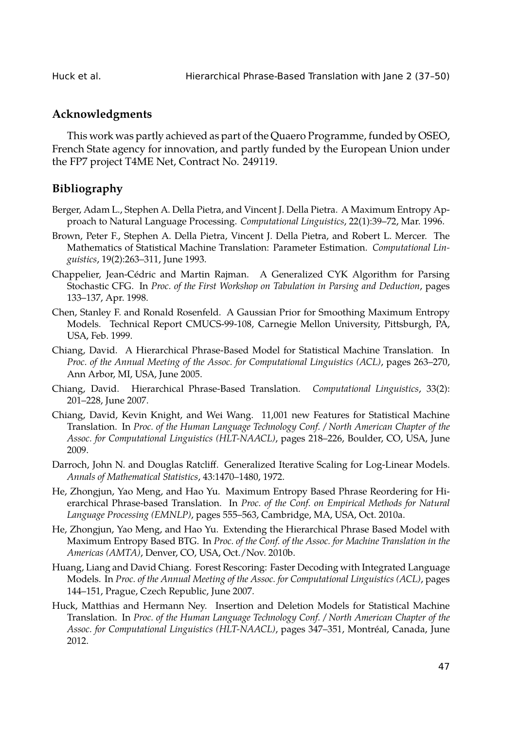# **Acknowledgments**

This work was partly achieved as part of the Quaero Programme, funded by OSEO, French State agency for innovation, and partly funded by the European Union under the FP7 project T4ME Net, Contract No. 249119.

# **Bibliography**

- <span id="page-10-6"></span>Berger, Adam L., Stephen A. Della Pietra, and Vincent J. Della Pietra. A Maximum Entropy Approach to Natural Language Processing. *Computational Linguistics*, 22(1):39–72, Mar. 1996.
- <span id="page-10-3"></span>Brown, Peter F., Stephen A. Della Pietra, Vincent J. Della Pietra, and Robert L. Mercer. The Mathematics of Statistical Machine Translation: Parameter Estimation. *Computational Linguistics*, 19(2):263–311, June 1993.
- <span id="page-10-0"></span>Chappelier, Jean-Cédric and Martin Rajman. A Generalized CYK Algorithm for Parsing Stochastic CFG. In *Proc. of the First Workshop on Tabulation in Parsing and Deduction*, pages 133–137, Apr. 1998.
- Chen, Stanley F. and Ronald Rosenfeld. A Gaussian Prior for Smoothing Maximum Entropy Models. Technical Report CMUCS-99-108, Carnegie Mellon University, Pittsburgh, PA, USA, Feb. 1999.
- Chiang, David. A Hierarchical Phrase-Based Model for Statistical Machine Translation. In *Proc. of the Annual Meeting of the Assoc. for Computational Linguistics (ACL)*, pages 263–270, Ann Arbor, MI, USA, June 2005.
- Chiang, David. Hierarchical Phrase-Based Translation. *Computational Linguistics*, 33(2): 201–228, June 2007.
- <span id="page-10-2"></span>Chiang, David, Kevin Knight, and Wei Wang. 11,001 new Features for Statistical Machine Translation. In *Proc. of the Human Language Technology Conf. / North American Chapter of the Assoc. for Computational Linguistics (HLT-NAACL)*, pages 218–226, Boulder, CO, USA, June 2009.
- Darroch, John N. and Douglas Ratcliff. Generalized Iterative Scaling for Log-Linear Models. *Annals of Mathematical Statistics*, 43:1470–1480, 1972.
- <span id="page-10-5"></span>He, Zhongjun, Yao Meng, and Hao Yu. Maximum Entropy Based Phrase Reordering for Hierarchical Phrase-based Translation. In *Proc. of the Conf. on Empirical Methods for Natural Language Processing (EMNLP)*, pages 555–563, Cambridge, MA, USA, Oct. 2010a.
- <span id="page-10-4"></span>He, Zhongjun, Yao Meng, and Hao Yu. Extending the Hierarchical Phrase Based Model with Maximum Entropy Based BTG. In *Proc. of the Conf. of the Assoc. for Machine Translation in the Americas (AMTA)*, Denver, CO, USA, Oct./Nov. 2010b.
- <span id="page-10-1"></span>Huang, Liang and David Chiang. Forest Rescoring: Faster Decoding with Integrated Language Models. In *Proc. of the Annual Meeting of the Assoc. for Computational Linguistics (ACL)*, pages 144–151, Prague, Czech Republic, June 2007.
- Huck, Matthias and Hermann Ney. Insertion and Deletion Models for Statistical Machine Translation. In *Proc. of the Human Language Technology Conf. / North American Chapter of the Assoc. for Computational Linguistics (HLT-NAACL)*, pages 347–351, Montréal, Canada, June 2012.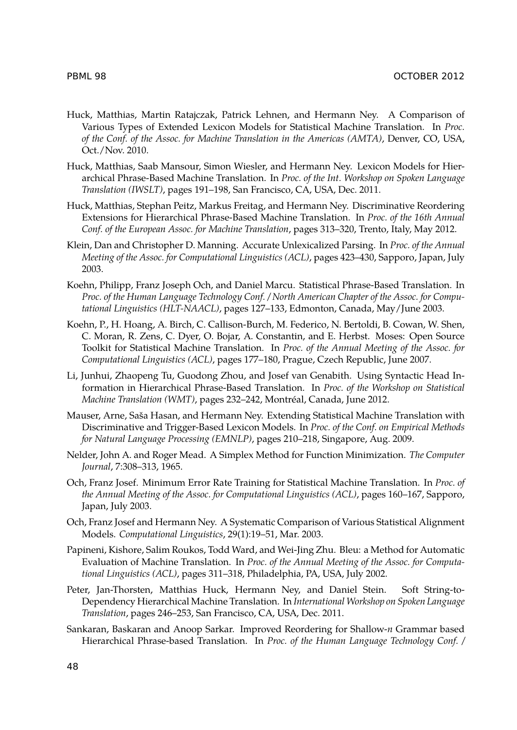- <span id="page-11-1"></span>Huck, Matthias, Martin Ratajczak, Patrick Lehnen, and Hermann Ney. A Comparison of Various Types of Extended Lexicon Models for Statistical Machine Translation. In *Proc. of the Conf. of the Assoc. for Machine Translation in the Americas (AMTA)*, Denver, CO, USA, Oct./Nov. 2010.
- <span id="page-11-5"></span>Huck, Matthias, Saab Mansour, Simon Wiesler, and Hermann Ney. Lexicon Models for Hierarchical Phrase-Based Machine Translation. In *Proc. of the Int. Workshop on Spoken Language Translation (IWSLT)*, pages 191–198, San Francisco, CA, USA, Dec. 2011.
- <span id="page-11-7"></span>Huck, Matthias, Stephan Peitz, Markus Freitag, and Hermann Ney. Discriminative Reordering Extensions for Hierarchical Phrase-Based Machine Translation. In *Proc. of the 16th Annual Conf. of the European Assoc. for Machine Translation*, pages 313–320, Trento, Italy, May 2012.
- <span id="page-11-10"></span>Klein, Dan and Christopher D. Manning. Accurate Unlexicalized Parsing. In *Proc. of the Annual Meeting of the Assoc. for Computational Linguistics (ACL)*, pages 423–430, Sapporo, Japan, July 2003.
- <span id="page-11-4"></span>Koehn, Philipp, Franz Joseph Och, and Daniel Marcu. Statistical Phrase-Based Translation. In *Proc. of the Human Language Technology Conf. / North American Chapter of the Assoc. for Computational Linguistics (HLT-NAACL)*, pages 127–133, Edmonton, Canada, May/June 2003.
- <span id="page-11-6"></span>Koehn, P., H. Hoang, A. Birch, C. Callison-Burch, M. Federico, N. Bertoldi, B. Cowan, W. Shen, C. Moran, R. Zens, C. Dyer, O. Bojar, A. Constantin, and E. Herbst. Moses: Open Source Toolkit for Statistical Machine Translation. In *Proc. of the Annual Meeting of the Assoc. for Computational Linguistics (ACL)*, pages 177–180, Prague, Czech Republic, June 2007.
- Li, Junhui, Zhaopeng Tu, Guodong Zhou, and Josef van Genabith. Using Syntactic Head Information in Hierarchical Phrase-Based Translation. In *Proc. of the Workshop on Statistical Machine Translation (WMT)*, pages 232–242, Montréal, Canada, June 2012.
- <span id="page-11-0"></span>Mauser, Arne, Saša Hasan, and Hermann Ney. Extending Statistical Machine Translation with Discriminative and Trigger-Based Lexicon Models. In *Proc. of the Conf. on Empirical Methods for Natural Language Processing (EMNLP)*, pages 210–218, Singapore, Aug. 2009.
- <span id="page-11-2"></span>Nelder, John A. and Roger Mead. A Simplex Method for Function Minimization. *The Computer Journal*, 7:308–313, 1965.
- <span id="page-11-3"></span>Och, Franz Josef. Minimum Error Rate Training for Statistical Machine Translation. In *Proc. of the Annual Meeting of the Assoc. for Computational Linguistics (ACL)*, pages 160–167, Sapporo, Japan, July 2003.
- <span id="page-11-9"></span>Och, Franz Josef and Hermann Ney. A Systematic Comparison of Various Statistical Alignment Models. *Computational Linguistics*, 29(1):19–51, Mar. 2003.
- <span id="page-11-11"></span>Papineni, Kishore, Salim Roukos, Todd Ward, and Wei-Jing Zhu. Bleu: a Method for Automatic Evaluation of Machine Translation. In *Proc. of the Annual Meeting of the Assoc. for Computational Linguistics (ACL)*, pages 311–318, Philadelphia, PA, USA, July 2002.
- <span id="page-11-8"></span>Peter, Jan-Thorsten, Matthias Huck, Hermann Ney, and Daniel Stein. Soft String-to-Dependency Hierarchical Machine Translation. In *International Workshop on Spoken Language Translation*, pages 246–253, San Francisco, CA, USA, Dec. 2011.
- Sankaran, Baskaran and Anoop Sarkar. Improved Reordering for Shallow-*n* Grammar based Hierarchical Phrase-based Translation. In *Proc. of the Human Language Technology Conf. /*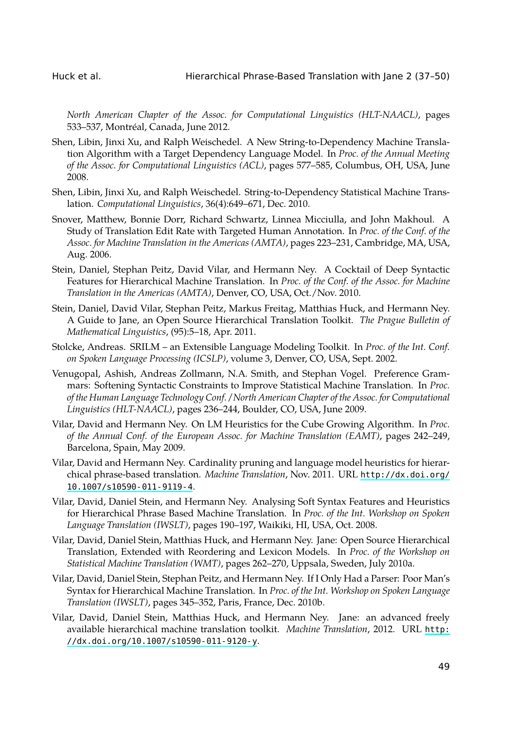<span id="page-12-12"></span><span id="page-12-10"></span><span id="page-12-9"></span>

*North American Chapter of the Assoc. for Computational Linguistics (HLT-NAACL)*, pages 533–537, Montréal, Canada, June 2012.

- <span id="page-12-3"></span>Shen, Libin, Jinxi Xu, and Ralph Weischedel. A New String-to-Dependency Machine Translation Algorithm with a Target Dependency Language Model. In *Proc. of the Annual Meeting of the Assoc. for Computational Linguistics (ACL)*, pages 577–585, Columbus, OH, USA, June 2008.
- <span id="page-12-7"></span>Shen, Libin, Jinxi Xu, and Ralph Weischedel. String-to-Dependency Statistical Machine Translation. *Computational Linguistics*, 36(4):649–671, Dec. 2010.
- <span id="page-12-11"></span>Snover, Matthew, Bonnie Dorr, Richard Schwartz, Linnea Micciulla, and John Makhoul. A Study of Translation Edit Rate with Targeted Human Annotation. In *Proc. of the Conf. of the Assoc. for Machine Translation in the Americas (AMTA)*, pages 223–231, Cambridge, MA, USA, Aug. 2006.
- <span id="page-12-2"></span>Stein, Daniel, Stephan Peitz, David Vilar, and Hermann Ney. A Cocktail of Deep Syntactic Features for Hierarchical Machine Translation. In *Proc. of the Conf. of the Assoc. for Machine Translation in the Americas (AMTA)*, Denver, CO, USA, Oct./Nov. 2010.
- <span id="page-12-5"></span>Stein, Daniel, David Vilar, Stephan Peitz, Markus Freitag, Matthias Huck, and Hermann Ney. A Guide to Jane, an Open Source Hierarchical Translation Toolkit. *The Prague Bulletin of Mathematical Linguistics*, (95):5–18, Apr. 2011.
- <span id="page-12-6"></span>Stolcke, Andreas. SRILM – an Extensible Language Modeling Toolkit. In *Proc. of the Int. Conf. on Spoken Language Processing (ICSLP)*, volume 3, Denver, CO, USA, S[ept. 2002.](http://dx.doi.org/10.1007/s10590-011-9119-4)
- <span id="page-12-1"></span>Ve[nugopal, Ashish, Andreas Zol](http://dx.doi.org/10.1007/s10590-011-9119-4)lmann, N.A. Smith, and Stephan Vogel. Preference Grammars: Softening Syntactic Constraints to Improve Statistical Machine Translation. In *Proc. of the Human Language Technology Conf. / North American Chapter of the Assoc. for Computational Linguistics (HLT-NAACL)*, pages 236–244, Boulder, CO, USA, June 2009.
- <span id="page-12-0"></span>Vilar, David and Hermann Ney. On LM Heuristics for the Cube Growing Algorithm. In *Proc. of the Annual Conf. of the European Assoc. for Machine Translation (EAMT)*, pages 242–249, Barcelona, Spain, May 2009.
- <span id="page-12-4"></span>Vilar, David and Hermann Ney. Cardinality pruning and language model heuristics for hierarchical phrase-based translation. *Machine Translation*, Nov. 2011. URL http://dx.doi.org/ 10.1007/s10590-011-9119-4.
- <span id="page-12-8"></span>Vilar, David, Daniel Stein, and Hermann Ney. Analysing Soft Syntax Features and Heuristics for Hierarchical Phrase Based Machine Translation. In *Proc. of the Int. Workshop on [Spoken](http://dx.doi.org/10.1007/s10590-011-9120-y) [Language Translation \(IWSLT\)](http://dx.doi.org/10.1007/s10590-011-9120-y)*, pages 190–197, Waikiki, HI, USA, Oct. 2008.
- Vilar, David, Daniel Stein, Matthias Huck, and Hermann Ney. Jane: Open Source Hierarchical Translation, Extended with Reordering and Lexicon Models. In *Proc. of the Workshop on Statistical Machine Translation (WMT)*, pages 262–270, Uppsala, Sweden, July 2010a.
- Vilar, David, Daniel Stein, Stephan Peitz, and Hermann Ney. If I Only Had a Parser: Poor Man's Syntax for Hierarchical Machine Translation. In *Proc. of the Int. Workshop on Spoken Language Translation (IWSLT)*, pages 345–352, Paris, France, Dec. 2010b.
- Vilar, David, Daniel Stein, Matthias Huck, and Hermann Ney. Jane: an advanced freely available hierarchical machine translation toolkit. *Machine Translation*, 2012. URL http: //dx.doi.org/10.1007/s10590-011-9120-y.